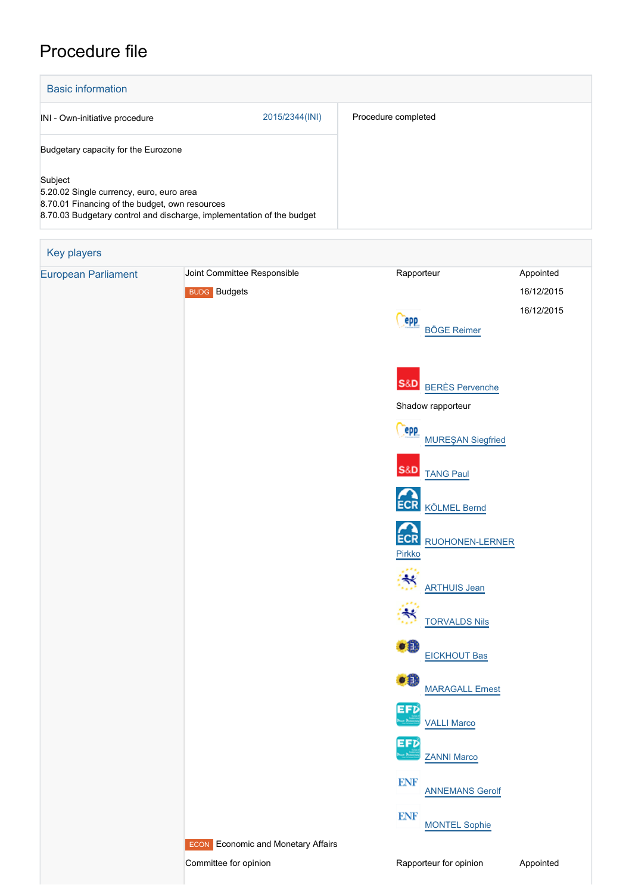# Procedure file

| <b>Basic information</b>                                                                              |                                                                       |                                                |                                       |  |
|-------------------------------------------------------------------------------------------------------|-----------------------------------------------------------------------|------------------------------------------------|---------------------------------------|--|
| INI - Own-initiative procedure                                                                        | 2015/2344(INI)                                                        | Procedure completed                            |                                       |  |
| Budgetary capacity for the Eurozone                                                                   |                                                                       |                                                |                                       |  |
| Subject<br>5.20.02 Single currency, euro, euro area<br>8.70.01 Financing of the budget, own resources | 8.70.03 Budgetary control and discharge, implementation of the budget |                                                |                                       |  |
| Key players                                                                                           |                                                                       |                                                |                                       |  |
| <b>European Parliament</b>                                                                            | Joint Committee Responsible<br><b>BUDG</b> Budgets                    | Rapporteur<br><b>PPP</b><br><b>BÖGE Reimer</b> | Appointed<br>16/12/2015<br>16/12/2015 |  |
|                                                                                                       |                                                                       | <b>BERÈS Pervenche</b>                         |                                       |  |

Shadow rapporteur

**Cepp**<br>[MUREŞAN Siegfried](http://www.europarl.europa.eu/meps/en/124802) S&D [TANG Paul](http://www.europarl.europa.eu/meps/en/125020) ECR [KÖLMEL Bernd](http://www.europarl.europa.eu/meps/en/124824) ECR [RUOHONEN-LERNER](http://www.europarl.europa.eu/meps/en/132366) [Pirkko](http://www.europarl.europa.eu/meps/en/132366)  $\ddot{\approx}$  [ARTHUIS Jean](http://www.europarl.europa.eu/meps/en/124773) ిక [TORVALDS Nils](http://www.europarl.europa.eu/meps/en/114268)  $\bullet$  0 [EICKHOUT Bas](http://www.europarl.europa.eu/meps/en/96725) **of**  [MARAGALL Ernest](http://www.europarl.europa.eu/meps/en/124933) EFD<br>[VALLI Marco](http://www.europarl.europa.eu/meps/en/124778) EFD<br>[ZANNI Marco](http://www.europarl.europa.eu/meps/en/124780)

**ECON** Economic and Monetary Affairs

**ENF** 

**ENF** 

[ANNEMANS Gerolf](http://www.europarl.europa.eu/meps/en/124973)

[MONTEL Sophie](http://www.europarl.europa.eu/meps/en/124769)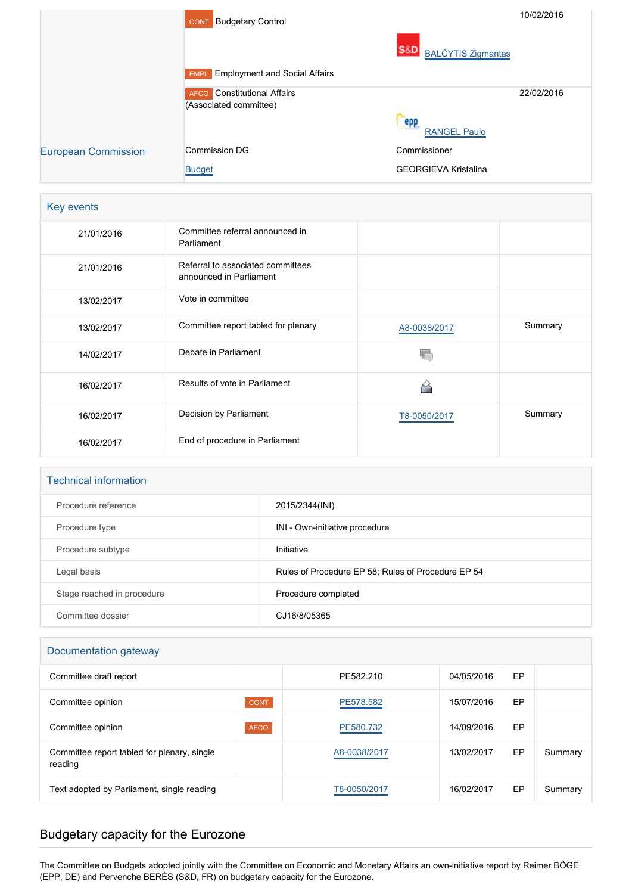|                            | <b>Budgetary Control</b><br><b>CONT</b>   | 10/02/2016                                  |
|----------------------------|-------------------------------------------|---------------------------------------------|
|                            |                                           | <b>S&amp;D</b><br><b>BALČYTIS Zigmantas</b> |
|                            | <b>EMPL</b> Employment and Social Affairs |                                             |
|                            | Constitutional Affairs<br><b>AFCO</b>     | 22/02/2016                                  |
|                            | (Associated committee)                    |                                             |
|                            |                                           | epp<br><b>RANGEL Paulo</b>                  |
| <b>European Commission</b> | <b>Commission DG</b>                      | Commissioner                                |
|                            | <b>Budget</b>                             | <b>GEORGIEVA Kristalina</b>                 |

#### Key events

| 21/01/2016 | Committee referral announced in<br>Parliament                |              |         |
|------------|--------------------------------------------------------------|--------------|---------|
| 21/01/2016 | Referral to associated committees<br>announced in Parliament |              |         |
| 13/02/2017 | Vote in committee                                            |              |         |
| 13/02/2017 | Committee report tabled for plenary                          | A8-0038/2017 | Summary |
| 14/02/2017 | Debate in Parliament                                         |              |         |
| 16/02/2017 | Results of vote in Parliament                                |              |         |
| 16/02/2017 | Decision by Parliament                                       | T8-0050/2017 | Summary |
| 16/02/2017 | End of procedure in Parliament                               |              |         |

#### Technical information

| Procedure reference        | 2015/2344(INI)                                     |
|----------------------------|----------------------------------------------------|
| Procedure type             | INI - Own-initiative procedure                     |
| Procedure subtype          | Initiative                                         |
| Legal basis                | Rules of Procedure EP 58; Rules of Procedure EP 54 |
| Stage reached in procedure | Procedure completed                                |
| Committee dossier          | CJ16/8/05365                                       |

| Documentation gateway                                  |             |              |            |    |         |  |
|--------------------------------------------------------|-------------|--------------|------------|----|---------|--|
| Committee draft report                                 |             | PF582 210    | 04/05/2016 | EP |         |  |
| Committee opinion                                      | <b>CONT</b> | PE578.582    | 15/07/2016 | EP |         |  |
| Committee opinion                                      | <b>AFCO</b> | PE580.732    | 14/09/2016 | EP |         |  |
| Committee report tabled for plenary, single<br>reading |             | A8-0038/2017 | 13/02/2017 | EP | Summary |  |
| Text adopted by Parliament, single reading             |             | T8-0050/2017 | 16/02/2017 | EP | Summary |  |

## Budgetary capacity for the Eurozone

The Committee on Budgets adopted jointly with the Committee on Economic and Monetary Affairs an own-initiative report by Reimer BÖGE (EPP, DE) and Pervenche BERÈS (S&D, FR) on budgetary capacity for the Eurozone.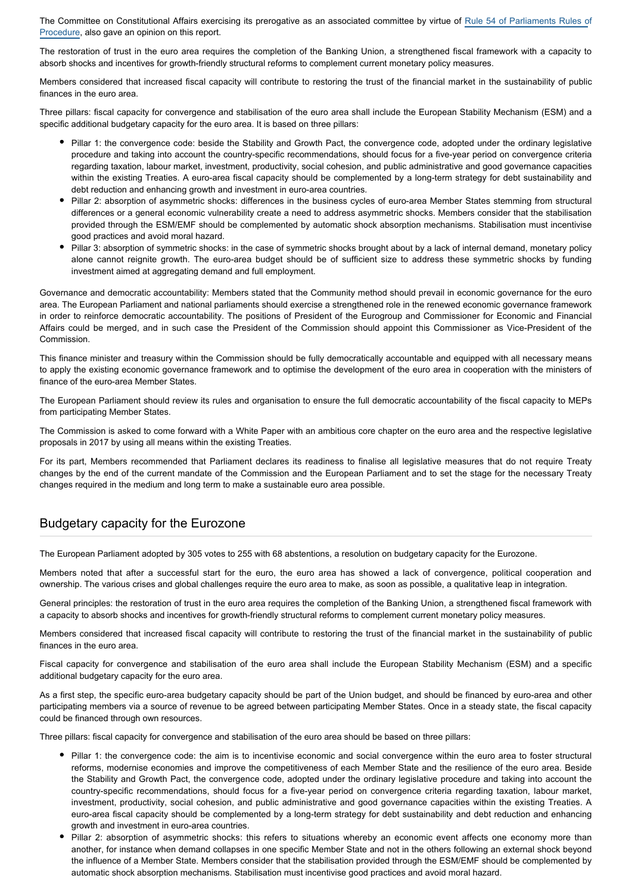The Committee on Constitutional Affairs exercising its prerogative as an associated committee by virtue of [Rule 54 of Parliaments Rules o](http://www.europarl.europa.eu/sides/getDoc.do?pubRef=-//EP//TEXT+RULES-EP+20150909+RULE-054+DOC+XML+V0//EN&language=EN&navigationBar=YES)f [Procedure](http://www.europarl.europa.eu/sides/getDoc.do?pubRef=-//EP//TEXT+RULES-EP+20150909+RULE-054+DOC+XML+V0//EN&language=EN&navigationBar=YES), also gave an opinion on this report.

The restoration of trust in the euro area requires the completion of the Banking Union, a strengthened fiscal framework with a capacity to absorb shocks and incentives for growth-friendly structural reforms to complement current monetary policy measures.

Members considered that increased fiscal capacity will contribute to restoring the trust of the financial market in the sustainability of public finances in the euro area.

Three pillars: fiscal capacity for convergence and stabilisation of the euro area shall include the European Stability Mechanism (ESM) and a specific additional budgetary capacity for the euro area. It is based on three pillars:

- Pillar 1: the convergence code: beside the Stability and Growth Pact, the convergence code, adopted under the ordinary legislative procedure and taking into account the country-specific recommendations, should focus for a five-year period on convergence criteria regarding taxation, labour market, investment, productivity, social cohesion, and public administrative and good governance capacities within the existing Treaties. A euro-area fiscal capacity should be complemented by a long-term strategy for debt sustainability and debt reduction and enhancing growth and investment in euro-area countries.
- Pillar 2: absorption of asymmetric shocks: differences in the business cycles of euro-area Member States stemming from structural differences or a general economic vulnerability create a need to address asymmetric shocks. Members consider that the stabilisation provided through the ESM/EMF should be complemented by automatic shock absorption mechanisms. Stabilisation must incentivise good practices and avoid moral hazard.
- Pillar 3: absorption of symmetric shocks: in the case of symmetric shocks brought about by a lack of internal demand, monetary policy alone cannot reignite growth. The euro-area budget should be of sufficient size to address these symmetric shocks by funding investment aimed at aggregating demand and full employment.

Governance and democratic accountability: Members stated that the Community method should prevail in economic governance for the euro area. The European Parliament and national parliaments should exercise a strengthened role in the renewed economic governance framework in order to reinforce democratic accountability. The positions of President of the Eurogroup and Commissioner for Economic and Financial Affairs could be merged, and in such case the President of the Commission should appoint this Commissioner as Vice-President of the Commission.

This finance minister and treasury within the Commission should be fully democratically accountable and equipped with all necessary means to apply the existing economic governance framework and to optimise the development of the euro area in cooperation with the ministers of finance of the euro-area Member States.

The European Parliament should review its rules and organisation to ensure the full democratic accountability of the fiscal capacity to MEPs from participating Member States.

The Commission is asked to come forward with a White Paper with an ambitious core chapter on the euro area and the respective legislative proposals in 2017 by using all means within the existing Treaties.

For its part, Members recommended that Parliament declares its readiness to finalise all legislative measures that do not require Treaty changes by the end of the current mandate of the Commission and the European Parliament and to set the stage for the necessary Treaty changes required in the medium and long term to make a sustainable euro area possible.

### Budgetary capacity for the Eurozone

The European Parliament adopted by 305 votes to 255 with 68 abstentions, a resolution on budgetary capacity for the Eurozone.

Members noted that after a successful start for the euro, the euro area has showed a lack of convergence, political cooperation and ownership. The various crises and global challenges require the euro area to make, as soon as possible, a qualitative leap in integration.

General principles: the restoration of trust in the euro area requires the completion of the Banking Union, a strengthened fiscal framework with a capacity to absorb shocks and incentives for growth-friendly structural reforms to complement current monetary policy measures.

Members considered that increased fiscal capacity will contribute to restoring the trust of the financial market in the sustainability of public finances in the euro area.

Fiscal capacity for convergence and stabilisation of the euro area shall include the European Stability Mechanism (ESM) and a specific additional budgetary capacity for the euro area.

As a first step, the specific euro-area budgetary capacity should be part of the Union budget, and should be financed by euro-area and other participating members via a source of revenue to be agreed between participating Member States. Once in a steady state, the fiscal capacity could be financed through own resources.

Three pillars: fiscal capacity for convergence and stabilisation of the euro area should be based on three pillars:

- Pillar 1: the convergence code: the aim is to incentivise economic and social convergence within the euro area to foster structural reforms, modernise economies and improve the competitiveness of each Member State and the resilience of the euro area. Beside the Stability and Growth Pact, the convergence code, adopted under the ordinary legislative procedure and taking into account the country-specific recommendations, should focus for a five-year period on convergence criteria regarding taxation, labour market, investment, productivity, social cohesion, and public administrative and good governance capacities within the existing Treaties. A euro-area fiscal capacity should be complemented by a long-term strategy for debt sustainability and debt reduction and enhancing growth and investment in euro-area countries.
- Pillar 2: absorption of asymmetric shocks: this refers to situations whereby an economic event affects one economy more than another, for instance when demand collapses in one specific Member State and not in the others following an external shock beyond the influence of a Member State. Members consider that the stabilisation provided through the ESM/EMF should be complemented by automatic shock absorption mechanisms. Stabilisation must incentivise good practices and avoid moral hazard.